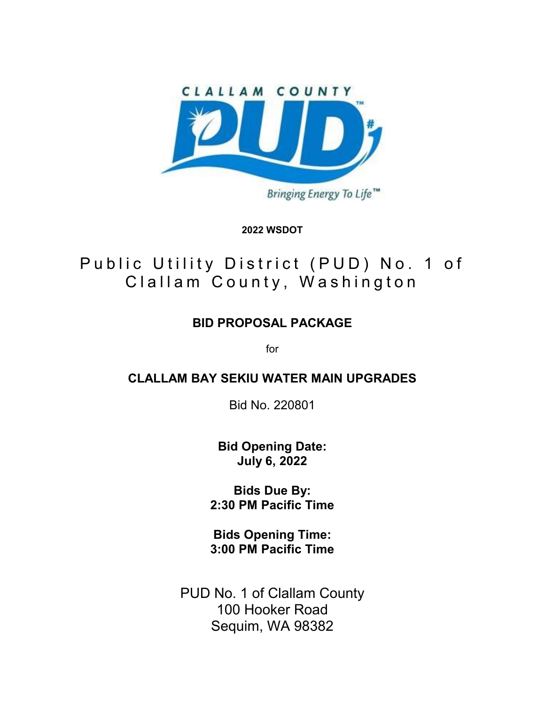

**2022 WSDOT**

# Public Utility District (PUD) No. 1 of Clallam County, Washington

# **BID PROPOSAL PACKAGE**

for

# **CLALLAM BAY SEKIU WATER MAIN UPGRADES**

Bid No. 220801

**Bid Opening Date: July 6, 2022**

**Bids Due By: 2:30 PM Pacific Time**

**Bids Opening Time: 3:00 PM Pacific Time**

PUD No. 1 of Clallam County 100 Hooker Road Sequim, WA 98382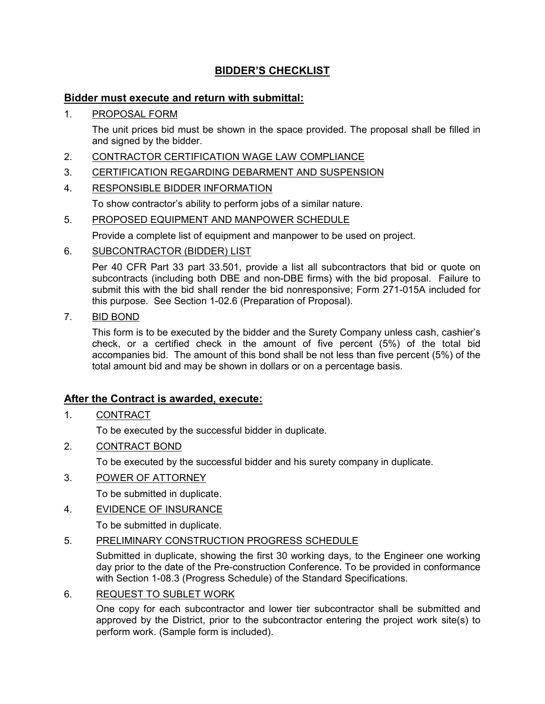# **BIDDER'S CHECKLIST**

#### **Bidder must execute and return with submittal:**

#### 1. PROPOSAL FORM

The unit prices bid must be shown in the space provided. The proposal shall be filled in and signed by the bidder.

- 2. CONTRACTOR CERTIFICATION WAGE LAW COMPLIANCE
- 3. CERTIFICATION REGARDING DEBARMENT AND SUSPENSION
- 4. RESPONSIBLE BIDDER INFORMATION

To show contractor's ability to perform jobs of a similar nature.

5. PROPOSED EQUIPMENT AND MANPOWER SCHEDULE

Provide a complete list of equipment and manpower to be used on project.

6. SUBCONTRACTOR (BIDDER) LIST

Per 40 CFR Part 33 part 33.501, provide a list all subcontractors that bid or quote on subcontracts (including both DBE and non-DBE firms) with the bid proposal. Failure to submit this with the bid shall render the bid nonresponsive; Form 271-015A included for this purpose. See Section 1-02.6 (Preparation of Proposal).

7. BID BOND

This form is to be executed by the bidder and the Surety Company unless cash, cashier's check, or a certified check in the amount of five percent (5%) of the total bid accompanies bid. The amount of this bond shall be not less than five percent (5%) of the total amount bid and may be shown in dollars or on a percentage basis.

### **After the Contract is awarded, execute:**

1. CONTRACT

To be executed by the successful bidder in duplicate.

2. CONTRACT BOND

To be executed by the successful bidder and his surety company in duplicate.

3. POWER OF ATTORNEY

To be submitted in duplicate.

4. EVIDENCE OF INSURANCE

To be submitted in duplicate.

5. PRELIMINARY CONSTRUCTION PROGRESS SCHEDULE

Submitted in duplicate, showing the first 30 working days, to the Engineer one working day prior to the date of the Pre-construction Conference. To be provided in conformance with Section 1-08.3 (Progress Schedule) of the Standard Specifications.

#### 6. REQUEST TO SUBLET WORK

One copy for each subcontractor and lower tier subcontractor shall be submitted and approved by the District, prior to the subcontractor entering the project work site(s) to perform work. (Sample form is included).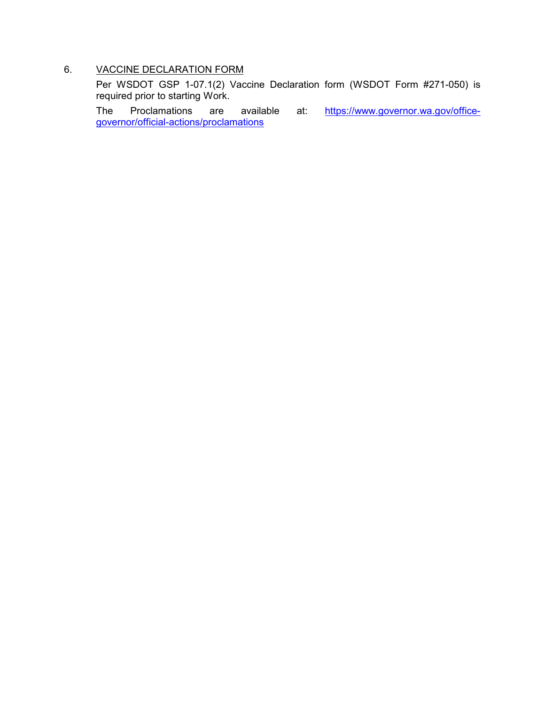# 6. VACCINE DECLARATION FORM

Per WSDOT GSP 1-07.1(2) Vaccine Declaration form (WSDOT Form #271-050) is required prior to starting Work.

The Proclamations are available at: [https://www.governor.wa.gov/office](https://www.governor.wa.gov/office-governor/official-actions/proclamations)[governor/official-actions/proclamations](https://www.governor.wa.gov/office-governor/official-actions/proclamations)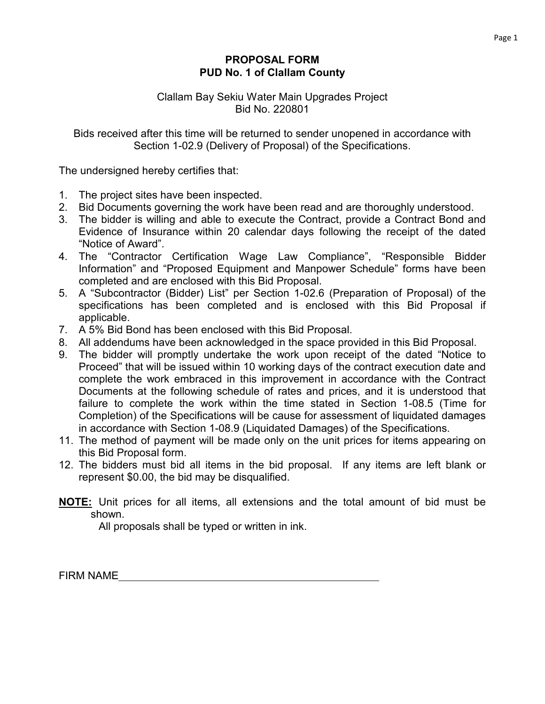### **PROPOSAL FORM PUD No. 1 of Clallam County**

#### Clallam Bay Sekiu Water Main Upgrades Project Bid No. 220801

Bids received after this time will be returned to sender unopened in accordance with Section 1-02.9 (Delivery of Proposal) of the Specifications.

The undersigned hereby certifies that:

- 1. The project sites have been inspected.
- 2. Bid Documents governing the work have been read and are thoroughly understood.
- 3. The bidder is willing and able to execute the Contract, provide a Contract Bond and Evidence of Insurance within 20 calendar days following the receipt of the dated "Notice of Award".
- 4. The "Contractor Certification Wage Law Compliance", "Responsible Bidder Information" and "Proposed Equipment and Manpower Schedule" forms have been completed and are enclosed with this Bid Proposal.
- 5. A "Subcontractor (Bidder) List" per Section 1-02.6 (Preparation of Proposal) of the specifications has been completed and is enclosed with this Bid Proposal if applicable.
- 7. A 5% Bid Bond has been enclosed with this Bid Proposal.
- 8. All addendums have been acknowledged in the space provided in this Bid Proposal.
- 9. The bidder will promptly undertake the work upon receipt of the dated "Notice to Proceed" that will be issued within 10 working days of the contract execution date and complete the work embraced in this improvement in accordance with the Contract Documents at the following schedule of rates and prices, and it is understood that failure to complete the work within the time stated in Section 1-08.5 (Time for Completion) of the Specifications will be cause for assessment of liquidated damages in accordance with Section 1-08.9 (Liquidated Damages) of the Specifications.
- 11. The method of payment will be made only on the unit prices for items appearing on this Bid Proposal form.
- 12. The bidders must bid all items in the bid proposal. If any items are left blank or represent \$0.00, the bid may be disqualified.
- **NOTE:** Unit prices for all items, all extensions and the total amount of bid must be shown.

All proposals shall be typed or written in ink.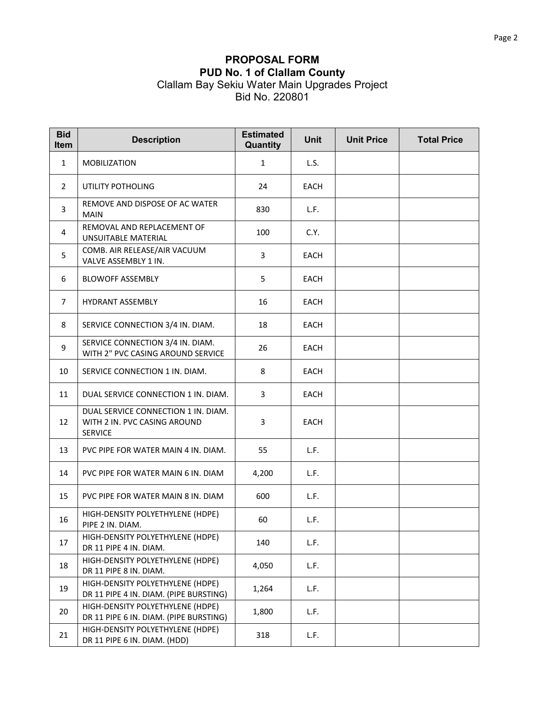| <b>Bid</b><br>Item | <b>Description</b>                                                                    | <b>Estimated</b><br>Quantity | <b>Unit</b> | <b>Unit Price</b> | <b>Total Price</b> |
|--------------------|---------------------------------------------------------------------------------------|------------------------------|-------------|-------------------|--------------------|
| $\mathbf{1}$       | <b>MOBILIZATION</b>                                                                   | $\mathbf{1}$                 | L.S.        |                   |                    |
| $\overline{2}$     | UTILITY POTHOLING                                                                     | 24                           | <b>EACH</b> |                   |                    |
| 3                  | REMOVE AND DISPOSE OF AC WATER<br><b>MAIN</b>                                         | 830                          | L.F.        |                   |                    |
| 4                  | REMOVAL AND REPLACEMENT OF<br><b>UNSUITABLE MATERIAL</b>                              | 100                          | C.Y.        |                   |                    |
| 5                  | COMB. AIR RELEASE/AIR VACUUM<br>VALVE ASSEMBLY 1 IN.                                  | 3                            | <b>EACH</b> |                   |                    |
| 6                  | <b>BLOWOFF ASSEMBLY</b>                                                               | 5                            | <b>EACH</b> |                   |                    |
| $\overline{7}$     | <b>HYDRANT ASSEMBLY</b>                                                               | 16                           | EACH        |                   |                    |
| 8                  | SERVICE CONNECTION 3/4 IN. DIAM.                                                      | 18                           | <b>EACH</b> |                   |                    |
| 9                  | SERVICE CONNECTION 3/4 IN. DIAM.<br>WITH 2" PVC CASING AROUND SERVICE                 | 26                           | EACH        |                   |                    |
| 10                 | SERVICE CONNECTION 1 IN. DIAM.                                                        | 8                            | <b>EACH</b> |                   |                    |
| 11                 | DUAL SERVICE CONNECTION 1 IN. DIAM.                                                   | 3                            | <b>EACH</b> |                   |                    |
| 12                 | DUAL SERVICE CONNECTION 1 IN. DIAM.<br>WITH 2 IN. PVC CASING AROUND<br><b>SERVICE</b> | 3                            | <b>EACH</b> |                   |                    |
| 13                 | PVC PIPE FOR WATER MAIN 4 IN. DIAM.                                                   | 55                           | L.F.        |                   |                    |
| 14                 | PVC PIPE FOR WATER MAIN 6 IN. DIAM                                                    | 4,200                        | L.F.        |                   |                    |
| 15                 | PVC PIPE FOR WATER MAIN 8 IN. DIAM                                                    | 600                          | L.F.        |                   |                    |
| 16                 | HIGH-DENSITY POLYETHYLENE (HDPE)<br>PIPE 2 IN. DIAM.                                  | 60                           | L.F.        |                   |                    |
| 17                 | HIGH-DENSITY POLYETHYLENE (HDPE)<br>DR 11 PIPE 4 IN. DIAM.                            | 140                          | L.F.        |                   |                    |
| 18                 | HIGH-DENSITY POLYETHYLENE (HDPE)<br>DR 11 PIPE 8 IN. DIAM.                            | 4,050                        | L.F.        |                   |                    |
| 19                 | HIGH-DENSITY POLYETHYLENE (HDPE)<br>DR 11 PIPE 4 IN. DIAM. (PIPE BURSTING)            | 1,264                        | L.F.        |                   |                    |
| 20                 | HIGH-DENSITY POLYETHYLENE (HDPE)<br>DR 11 PIPE 6 IN. DIAM. (PIPE BURSTING)            | 1,800                        | L.F.        |                   |                    |
| 21                 | HIGH-DENSITY POLYETHYLENE (HDPE)<br>DR 11 PIPE 6 IN. DIAM. (HDD)                      | 318                          | L.F.        |                   |                    |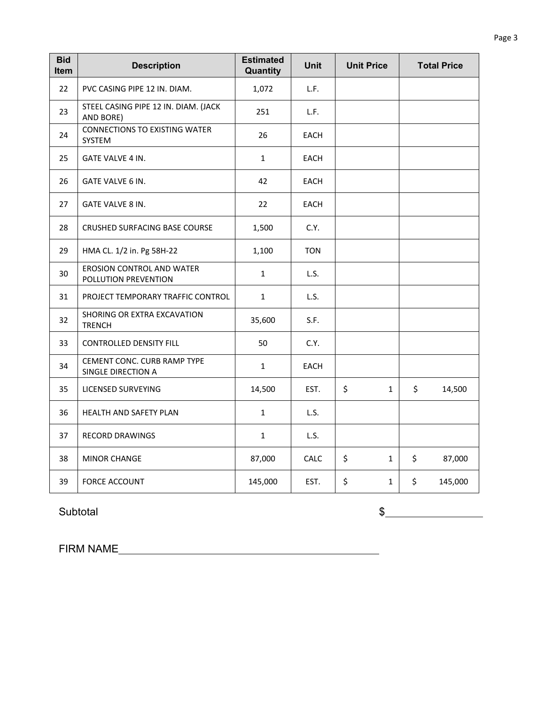| <b>Bid</b><br><b>Item</b> | <b>Description</b>                                       | <b>Estimated</b><br>Quantity | <b>Unit</b> | <b>Unit Price</b>  | <b>Total Price</b> |
|---------------------------|----------------------------------------------------------|------------------------------|-------------|--------------------|--------------------|
| 22                        | PVC CASING PIPE 12 IN. DIAM.                             | 1,072                        | L.F.        |                    |                    |
| 23                        | STEEL CASING PIPE 12 IN. DIAM. (JACK<br>AND BORE)        | 251                          | L.F.        |                    |                    |
| 24                        | <b>CONNECTIONS TO EXISTING WATER</b><br><b>SYSTEM</b>    | 26                           | <b>EACH</b> |                    |                    |
| 25                        | <b>GATE VALVE 4 IN.</b>                                  | $\mathbf{1}$                 | <b>EACH</b> |                    |                    |
| 26                        | GATE VALVE 6 IN.                                         | 42                           | <b>EACH</b> |                    |                    |
| 27                        | <b>GATE VALVE 8 IN.</b>                                  | 22                           | <b>EACH</b> |                    |                    |
| 28                        | CRUSHED SURFACING BASE COURSE                            | 1,500                        | C.Y.        |                    |                    |
| 29                        | HMA CL. 1/2 in. Pg 58H-22                                | 1,100                        | <b>TON</b>  |                    |                    |
| 30                        | <b>EROSION CONTROL AND WATER</b><br>POLLUTION PREVENTION | $\mathbf{1}$                 | L.S.        |                    |                    |
| 31                        | PROJECT TEMPORARY TRAFFIC CONTROL                        | $\mathbf{1}$                 | L.S.        |                    |                    |
| 32                        | SHORING OR EXTRA EXCAVATION<br><b>TRENCH</b>             | 35,600                       | S.F.        |                    |                    |
| 33                        | CONTROLLED DENSITY FILL                                  | 50                           | C.Y.        |                    |                    |
| 34                        | CEMENT CONC. CURB RAMP TYPE<br>SINGLE DIRECTION A        | $\mathbf{1}$                 | EACH        |                    |                    |
| 35                        | LICENSED SURVEYING                                       | 14,500                       | EST.        | \$<br>$\mathbf{1}$ | \$<br>14,500       |
| 36                        | <b>HEALTH AND SAFETY PLAN</b>                            | $\mathbf{1}$                 | L.S.        |                    |                    |
| 37                        | RECORD DRAWINGS                                          | $\mathbf{1}$                 | L.S.        |                    |                    |
| 38                        | <b>MINOR CHANGE</b>                                      | 87,000                       | CALC        | \$<br>$\mathbf{1}$ | \$<br>87,000       |
| 39                        | <b>FORCE ACCOUNT</b>                                     | 145,000                      | EST.        | \$<br>$\mathbf{1}$ | \$<br>145,000      |

Subtotal  $\qquad \qquad \qquad$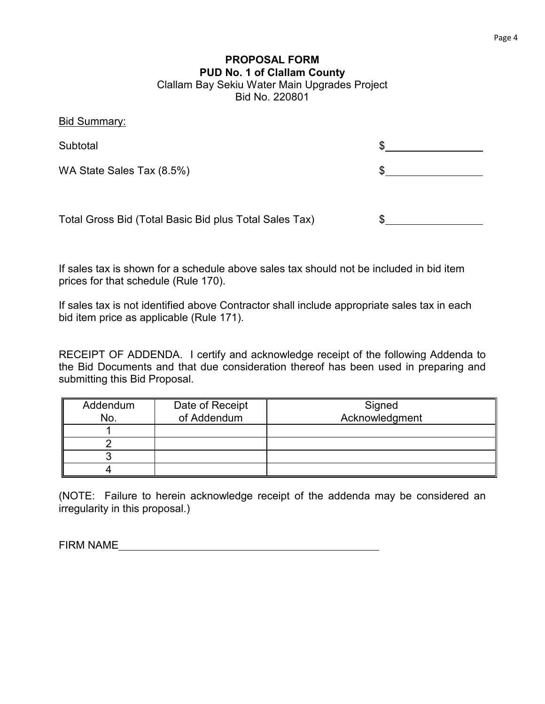# **PROPOSAL FORM PUD No. 1 of Clallam County** Clallam Bay Sekiu Water Main Upgrades Project

Bid No. 220801

| Bid Summary:                                           |  |
|--------------------------------------------------------|--|
| Subtotal                                               |  |
| WA State Sales Tax (8.5%)                              |  |
| Total Gross Bid (Total Basic Bid plus Total Sales Tax) |  |

If sales tax is shown for a schedule above sales tax should not be included in bid item prices for that schedule (Rule 170).

If sales tax is not identified above Contractor shall include appropriate sales tax in each bid item price as applicable (Rule 171).

RECEIPT OF ADDENDA. I certify and acknowledge receipt of the following Addenda to the Bid Documents and that due consideration thereof has been used in preparing and submitting this Bid Proposal.

| Addendum | Date of Receipt | Signed         |
|----------|-----------------|----------------|
| No.      | of Addendum     | Acknowledgment |
|          |                 |                |
|          |                 |                |
|          |                 |                |
|          |                 |                |

(NOTE: Failure to herein acknowledge receipt of the addenda may be considered an irregularity in this proposal.)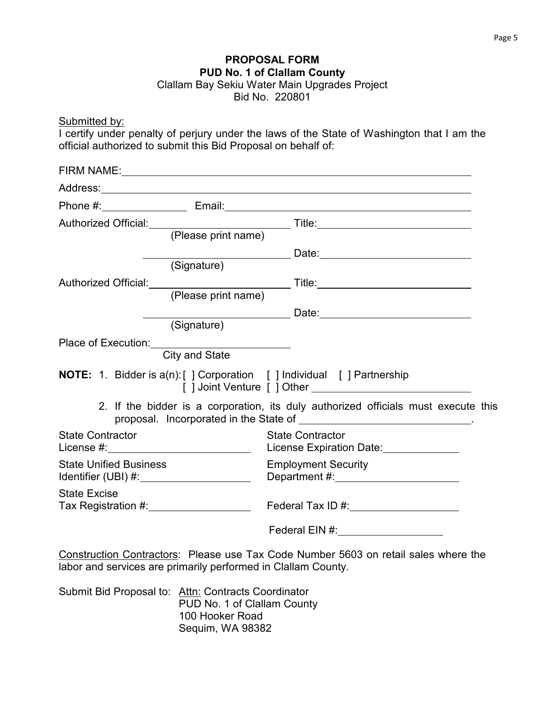#### **PROPOSAL FORM PUD No. 1 of Clallam County** Clallam Bay Sekiu Water Main Upgrades Project

Bid No. 220801

Submitted by:

I certify under penalty of perjury under the laws of the State of Washington that I am the official authorized to submit this Bid Proposal on behalf of:

|                                                                           | Address: Address: Address: Address: Address: Address: Address: Address: Address: Address: Address: Address: Address: Address: Address: Address: Address: Address: Address: Address: Address: Address: Address: Address: Addres |
|---------------------------------------------------------------------------|--------------------------------------------------------------------------------------------------------------------------------------------------------------------------------------------------------------------------------|
|                                                                           |                                                                                                                                                                                                                                |
|                                                                           |                                                                                                                                                                                                                                |
|                                                                           |                                                                                                                                                                                                                                |
|                                                                           |                                                                                                                                                                                                                                |
| (Signature)                                                               |                                                                                                                                                                                                                                |
|                                                                           |                                                                                                                                                                                                                                |
|                                                                           |                                                                                                                                                                                                                                |
|                                                                           |                                                                                                                                                                                                                                |
| (Signature)                                                               |                                                                                                                                                                                                                                |
| <b>City and State</b>                                                     |                                                                                                                                                                                                                                |
|                                                                           | <b>NOTE:</b> 1. Bidder is a(n): [] Corporation [] Individual [] Partnership<br>2. If the bidder is a corporation, its duly authorized officials must execute this                                                              |
|                                                                           | proposal. Incorporated in the State of _________________________________.                                                                                                                                                      |
| <b>State Contractor</b>                                                   | <b>State Contractor</b>                                                                                                                                                                                                        |
| License #:____________________________                                    | License Expiration Date: 1990                                                                                                                                                                                                  |
| <b>State Unified Business</b><br>Identifier (UBI) #:_____________________ | <b>Employment Security</b>                                                                                                                                                                                                     |
| <b>State Excise</b>                                                       | Tax Registration #: General Tax ID #: Federal Tax ID #:                                                                                                                                                                        |
|                                                                           |                                                                                                                                                                                                                                |
| labor and services are primarily performed in Clallam County.             | Construction Contractors: Please use Tax Code Number 5603 on retail sales where the                                                                                                                                            |
| the company's company's company's                                         |                                                                                                                                                                                                                                |

Submit Bid Proposal to: Attn: Contracts Coordinator PUD No. 1 of Clallam County 100 Hooker Road Sequim, WA 98382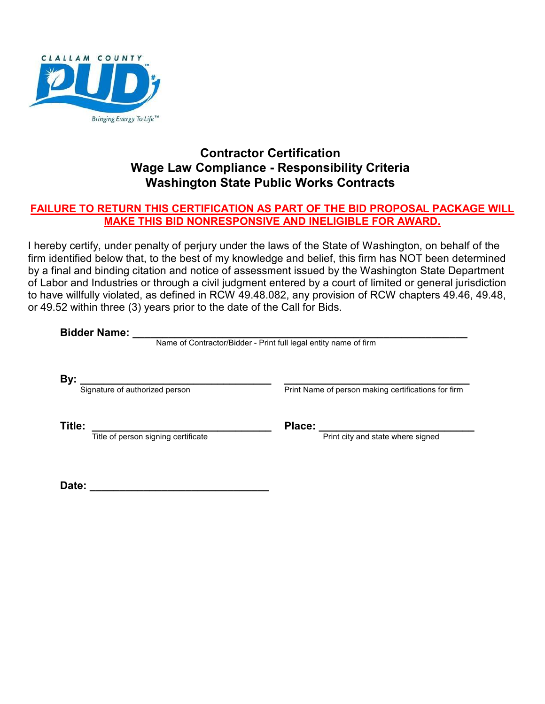

# **Contractor Certification Wage Law Compliance - Responsibility Criteria Washington State Public Works Contracts**

## **FAILURE TO RETURN THIS CERTIFICATION AS PART OF THE BID PROPOSAL PACKAGE WILL MAKE THIS BID NONRESPONSIVE AND INELIGIBLE FOR AWARD.**

I hereby certify, under penalty of perjury under the laws of the State of Washington, on behalf of the firm identified below that, to the best of my knowledge and belief, this firm has NOT been determined by a final and binding citation and notice of assessment issued by the Washington State Department of Labor and Industries or through a civil judgment entered by a court of limited or general jurisdiction to have willfully violated, as defined in RCW 49.48.082, any provision of RCW chapters 49.46, 49.48, or 49.52 within three (3) years prior to the date of the Call for Bids.

| <b>Bidder Name:</b> |  |  |  |  |  |  |  |
|---------------------|--|--|--|--|--|--|--|
|                     |  |  |  |  |  |  |  |

Name of Contractor/Bidder - Print full legal entity name of firm

**By: \_\_\_\_\_\_\_\_\_\_\_\_\_\_\_\_\_\_\_\_\_\_\_\_\_\_\_\_\_\_\_\_ \_\_\_\_\_\_\_\_\_\_\_\_\_\_\_\_\_\_\_\_\_\_\_\_\_\_\_\_\_\_\_** Signature of authorized person **Prince Access 2016** Print Name of person making certifications for firm

**Title: \_\_\_\_\_\_\_\_\_\_\_\_\_\_\_\_\_\_\_\_\_\_\_\_\_\_\_\_\_\_ Place: \_\_\_\_\_\_\_\_\_\_\_\_\_\_\_\_\_\_\_\_\_\_\_\_\_\_**

Title of person signing certificate **Print city and state where signed** 

Date: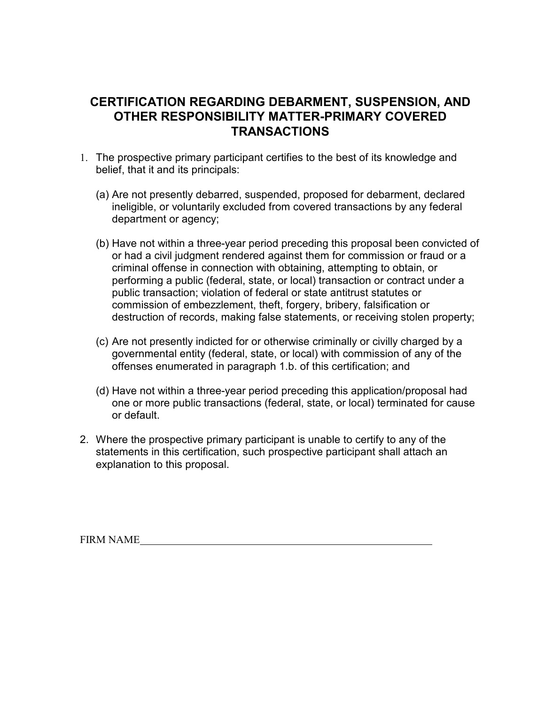# **CERTIFICATION REGARDING DEBARMENT, SUSPENSION, AND OTHER RESPONSIBILITY MATTER-PRIMARY COVERED TRANSACTIONS**

- 1. The prospective primary participant certifies to the best of its knowledge and belief, that it and its principals:
	- (a) Are not presently debarred, suspended, proposed for debarment, declared ineligible, or voluntarily excluded from covered transactions by any federal department or agency;
	- (b) Have not within a three-year period preceding this proposal been convicted of or had a civil judgment rendered against them for commission or fraud or a criminal offense in connection with obtaining, attempting to obtain, or performing a public (federal, state, or local) transaction or contract under a public transaction; violation of federal or state antitrust statutes or commission of embezzlement, theft, forgery, bribery, falsification or destruction of records, making false statements, or receiving stolen property;
	- (c) Are not presently indicted for or otherwise criminally or civilly charged by a governmental entity (federal, state, or local) with commission of any of the offenses enumerated in paragraph 1.b. of this certification; and
	- (d) Have not within a three-year period preceding this application/proposal had one or more public transactions (federal, state, or local) terminated for cause or default.
- 2. Where the prospective primary participant is unable to certify to any of the statements in this certification, such prospective participant shall attach an explanation to this proposal.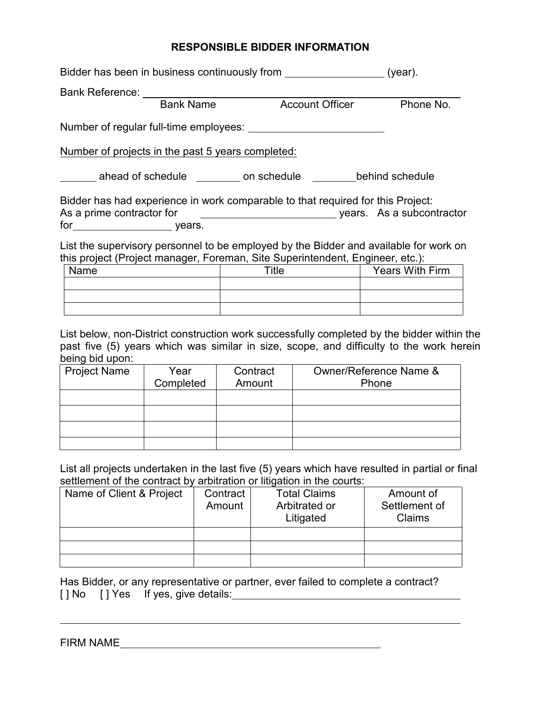#### **RESPONSIBLE BIDDER INFORMATION**

| Bidder has been in business continuously from     | $(year)$ .       |                                                                                                                                                    |  |                           |
|---------------------------------------------------|------------------|----------------------------------------------------------------------------------------------------------------------------------------------------|--|---------------------------|
| Bank Reference: University of Pank Reference:     | <b>Bank Name</b> | <b>Account Officer</b>                                                                                                                             |  | Phone No.                 |
|                                                   |                  |                                                                                                                                                    |  |                           |
| Number of projects in the past 5 years completed: |                  |                                                                                                                                                    |  |                           |
|                                                   |                  | ahead of schedule on schedule                                                                                                                      |  | behind schedule           |
| As a prime contractor for                         |                  | Bidder has had experience in work comparable to that required for this Project:<br><u> 1989 - Johann Barn, fransk politik amerikansk politik (</u> |  | years. As a subcontractor |

for years.

List the supervisory personnel to be employed by the Bidder and available for work on this project (Project manager, Foreman, Site Superintendent, Engineer, etc.):

| Name | <b>Title</b> | Years With Firm |
|------|--------------|-----------------|
|      |              |                 |
|      |              |                 |
|      |              |                 |

List below, non-District construction work successfully completed by the bidder within the past five (5) years which was similar in size, scope, and difficulty to the work herein being bid upon:

| <b>Project Name</b> | Year      | Contract | Owner/Reference Name & |
|---------------------|-----------|----------|------------------------|
|                     | Completed | Amount   | Phone                  |
|                     |           |          |                        |
|                     |           |          |                        |
|                     |           |          |                        |
|                     |           |          |                        |

List all projects undertaken in the last five (5) years which have resulted in partial or final settlement of the contract by arbitration or litigation in the courts:

| Name of Client & Project | Contract<br>Amount | <b>Total Claims</b><br>Arbitrated or<br>Litigated | Amount of<br>Settlement of<br>Claims |
|--------------------------|--------------------|---------------------------------------------------|--------------------------------------|
|                          |                    |                                                   |                                      |
|                          |                    |                                                   |                                      |
|                          |                    |                                                   |                                      |

Has Bidder, or any representative or partner, ever failed to complete a contract? [ ] No [ ] Yes If yes, give details: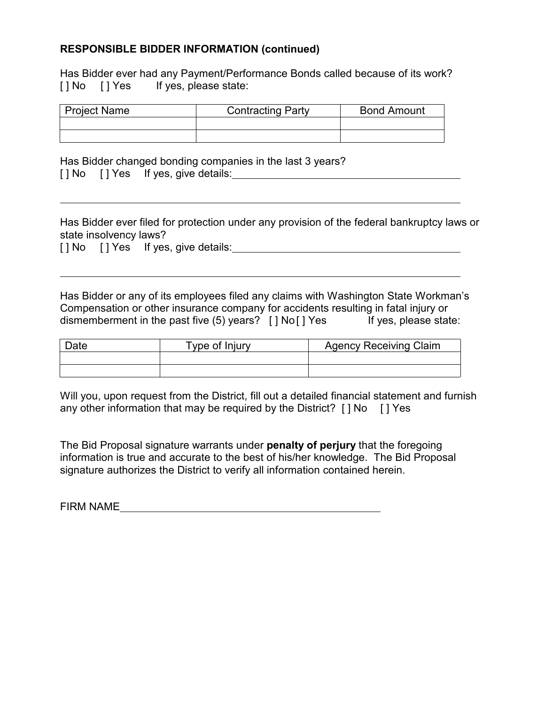### **RESPONSIBLE BIDDER INFORMATION (continued)**

Has Bidder ever had any Payment/Performance Bonds called because of its work? [ ] No [ ] Yes If yes, please state:

| <b>Project Name</b> | <b>Contracting Party</b> | <b>Bond Amount</b> |  |  |
|---------------------|--------------------------|--------------------|--|--|
|                     |                          |                    |  |  |
|                     |                          |                    |  |  |

Has Bidder changed bonding companies in the last 3 years? [ ] No [ ] Yes If yes, give details:

Has Bidder ever filed for protection under any provision of the federal bankruptcy laws or state insolvency laws?

[ ] No [ ] Yes If yes, give details:

Has Bidder or any of its employees filed any claims with Washington State Workman's Compensation or other insurance company for accidents resulting in fatal injury or dismemberment in the past five  $(5)$  years?  $\left[ \begin{array}{cc} | \text{No} | \end{array} \right]$  Yes  $\left[ \begin{array}{cc} | \text{Yes} | \end{array} \right]$  if yes, please state:

| Date | Type of Injury | <b>Agency Receiving Claim</b> |
|------|----------------|-------------------------------|
|      |                |                               |
|      |                |                               |

Will you, upon request from the District, fill out a detailed financial statement and furnish any other information that may be required by the District? [ ] No [ ] Yes

The Bid Proposal signature warrants under **penalty of perjury** that the foregoing information is true and accurate to the best of his/her knowledge. The Bid Proposal signature authorizes the District to verify all information contained herein.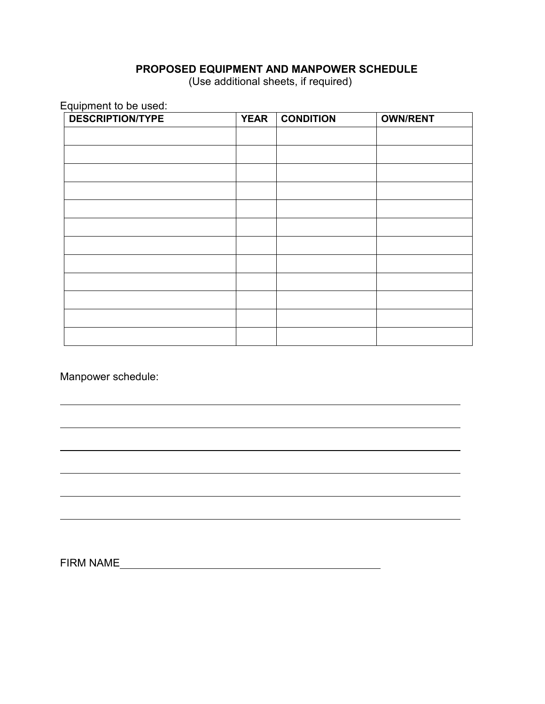### **PROPOSED EQUIPMENT AND MANPOWER SCHEDULE**

(Use additional sheets, if required)

Equipment to be used:

| <b>DESCRIPTION/TYPE</b> | <b>YEAR</b> | <b>CONDITION</b> | <b>OWN/RENT</b> |
|-------------------------|-------------|------------------|-----------------|
|                         |             |                  |                 |
|                         |             |                  |                 |
|                         |             |                  |                 |
|                         |             |                  |                 |
|                         |             |                  |                 |
|                         |             |                  |                 |
|                         |             |                  |                 |
|                         |             |                  |                 |
|                         |             |                  |                 |
|                         |             |                  |                 |
|                         |             |                  |                 |
|                         |             |                  |                 |

Manpower schedule: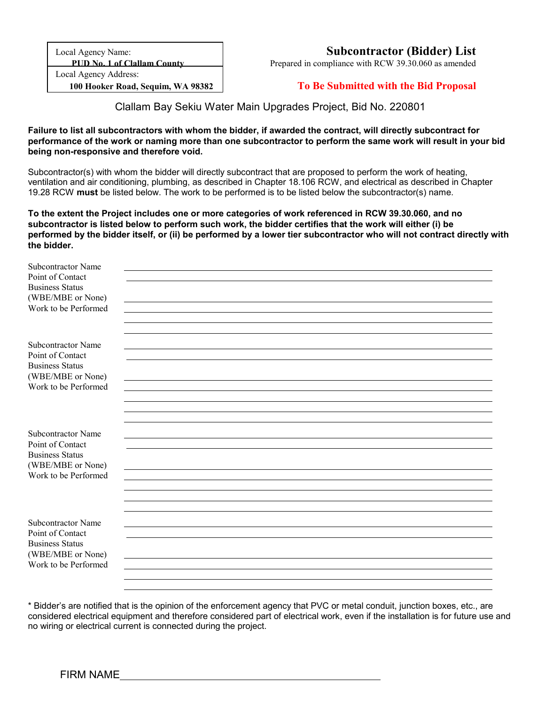| Local Agency Name:                |
|-----------------------------------|
| PUD No. 1 of Clallam County       |
| Local Agency Address:             |
| 100 Hooker Road, Sequim, WA 98382 |

### **Subcontractor (Bidder) List**

Prepared in compliance with RCW 39.30.060 as amended

**100 Be Submitted with the Bid Proposal** 

Clallam Bay Sekiu Water Main Upgrades Project, Bid No. 220801

**Failure to list all subcontractors with whom the bidder, if awarded the contract, will directly subcontract for performance of the work or naming more than one subcontractor to perform the same work will result in your bid being non-responsive and therefore void.**

Subcontractor(s) with whom the bidder will directly subcontract that are proposed to perform the work of heating, ventilation and air conditioning, plumbing, as described in Chapter 18.106 RCW, and electrical as described in Chapter 19.28 RCW **must** be listed below. The work to be performed is to be listed below the subcontractor(s) name.

**To the extent the Project includes one or more categories of work referenced in RCW 39.30.060, and no subcontractor is listed below to perform such work, the bidder certifies that the work will either (i) be performed by the bidder itself, or (ii) be performed by a lower tier subcontractor who will not contract directly with the bidder.**

| <b>Subcontractor Name</b><br>Point of Contact<br><b>Business Status</b><br>(WBE/MBE or None)<br>Work to be Performed | and the control of the control of the control of the control of the control of the control of the control of the                                                                                                              |  |
|----------------------------------------------------------------------------------------------------------------------|-------------------------------------------------------------------------------------------------------------------------------------------------------------------------------------------------------------------------------|--|
| <b>Subcontractor Name</b><br>Point of Contact<br><b>Business Status</b><br>(WBE/MBE or None)<br>Work to be Performed | the control of the control of the control of the control of the control of the control of the control of the control of the control of the control of the control of the control of the control of the control of the control |  |
| <b>Subcontractor Name</b><br>Point of Contact<br><b>Business Status</b><br>(WBE/MBE or None)<br>Work to be Performed | the control of the control of the control of the control of the control of the control of the control of the control of the control of the control of the control of the control of the control of the control of the control |  |
| <b>Subcontractor Name</b><br>Point of Contact<br><b>Business Status</b><br>(WBE/MBE or None)<br>Work to be Performed | and the control of the control of the control of the control of the control of the control of the control of the                                                                                                              |  |

\* Bidder's are notified that is the opinion of the enforcement agency that PVC or metal conduit, junction boxes, etc., are considered electrical equipment and therefore considered part of electrical work, even if the installation is for future use and no wiring or electrical current is connected during the project.